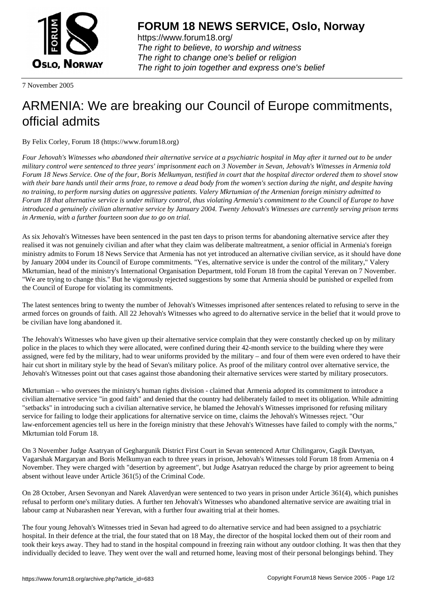

https://www.forum18.org/ The right to believe, to worship and witness The right to change one's belief or religion [The right to join together a](https://www.forum18.org/)nd express one's belief

7 November 2005

## [ARMENIA: We](https://www.forum18.org) are breaking our Council of Europe commitments, official admits

By Felix Corley, Forum 18 (https://www.forum18.org)

*Four Jehovah's Witnesses who abandoned their alternative service at a psychiatric hospital in May after it turned out to be under military control were sentenced to three years' imprisonment each on 3 November in Sevan, Jehovah's Witnesses in Armenia told Forum 18 News Service. One of the four, Boris Melkumyan, testified in court that the hospital director ordered them to shovel snow with their bare hands until their arms froze, to remove a dead body from the women's section during the night, and despite having no training, to perform nursing duties on aggressive patients. Valery Mkrtumian of the Armenian foreign ministry admitted to Forum 18 that alternative service is under military control, thus violating Armenia's commitment to the Council of Europe to have introduced a genuinely civilian alternative service by January 2004. Twenty Jehovah's Witnesses are currently serving prison terms in Armenia, with a further fourteen soon due to go on trial.*

As six Jehovah's Witnesses have been sentenced in the past ten days to prison terms for abandoning alternative service after they realised it was not genuinely civilian and after what they claim was deliberate maltreatment, a senior official in Armenia's foreign ministry admits to Forum 18 News Service that Armenia has not yet introduced an alternative civilian service, as it should have done by January 2004 under its Council of Europe commitments. "Yes, alternative service is under the control of the military," Valery Mkrtumian, head of the ministry's International Organisation Department, told Forum 18 from the capital Yerevan on 7 November. "We are trying to change this." But he vigorously rejected suggestions by some that Armenia should be punished or expelled from the Council of Europe for violating its commitments.

The latest sentences bring to twenty the number of Jehovah's Witnesses imprisoned after sentences related to refusing to serve in the armed forces on grounds of faith. All 22 Jehovah's Witnesses who agreed to do alternative service in the belief that it would prove to be civilian have long abandoned it.

The Jehovah's Witnesses who have given up their alternative service complain that they were constantly checked up on by military police in the places to which they were allocated, were confined during their 42-month service to the building where they were assigned, were fed by the military, had to wear uniforms provided by the military – and four of them were even ordered to have their hair cut short in military style by the head of Sevan's military police. As proof of the military control over alternative service, the Jehovah's Witnesses point out that cases against those abandoning their alternative services were started by military prosecutors.

Mkrtumian – who oversees the ministry's human rights division - claimed that Armenia adopted its commitment to introduce a civilian alternative service "in good faith" and denied that the country had deliberately failed to meet its obligation. While admitting "setbacks" in introducing such a civilian alternative service, he blamed the Jehovah's Witnesses imprisoned for refusing military service for failing to lodge their applications for alternative service on time, claims the Jehovah's Witnesses reject. "Our law-enforcement agencies tell us here in the foreign ministry that these Jehovah's Witnesses have failed to comply with the norms," Mkrtumian told Forum 18.

On 3 November Judge Asatryan of Geghargunik District First Court in Sevan sentenced Artur Chilingarov, Gagik Davtyan, Vagarshak Margaryan and Boris Melkumyan each to three years in prison, Jehovah's Witnesses told Forum 18 from Armenia on 4 November. They were charged with "desertion by agreement", but Judge Asatryan reduced the charge by prior agreement to being absent without leave under Article 361(5) of the Criminal Code.

On 28 October, Arsen Sevonyan and Narek Alaverdyan were sentenced to two years in prison under Article 361(4), which punishes refusal to perform one's military duties. A further ten Jehovah's Witnesses who abandoned alternative service are awaiting trial in labour camp at Nubarashen near Yerevan, with a further four awaiting trial at their homes.

The four young Jehovah's Witnesses tried in Sevan had agreed to do alternative service and had been assigned to a psychiatric hospital. In their defence at the trial, the four stated that on 18 May, the director of the hospital locked them out of their room and took their keys away. They had to stand in the hospital compound in freezing rain without any outdoor clothing. It was then that they individually decided to leave. They went over the wall and returned home, leaving most of their personal belongings behind. They